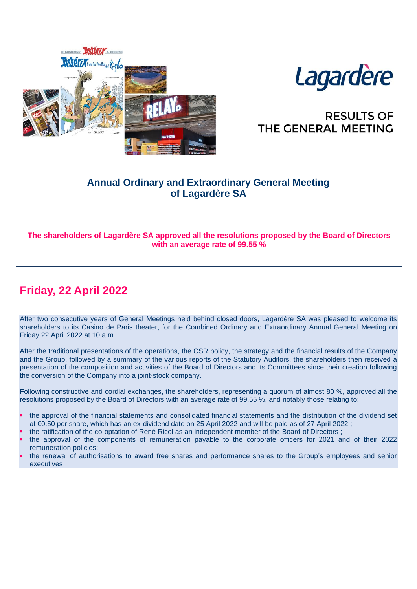



# **RESULTS OF** THE GENERAL MEETING

### **Annual Ordinary and Extraordinary General Meeting of Lagardère SA**

### **The shareholders of Lagardère SA approved all the resolutions proposed by the Board of Directors with an average rate of 99.55 %**

# **Friday, 22 April 2022**

After two consecutive years of General Meetings held behind closed doors, Lagardère SA was pleased to welcome its shareholders to its Casino de Paris theater, for the Combined Ordinary and Extraordinary Annual General Meeting on Friday 22 April 2022 at 10 a.m.

After the traditional presentations of the operations, the CSR policy, the strategy and the financial results of the Company and the Group, followed by a summary of the various reports of the Statutory Auditors, the shareholders then received a presentation of the composition and activities of the Board of Directors and its Committees since their creation following the conversion of the Company into a joint-stock company.

Following constructive and cordial exchanges, the shareholders, representing a quorum of almost 80 %, approved all the resolutions proposed by the Board of Directors with an average rate of 99,55 %, and notably those relating to:

- the approval of the financial statements and consolidated financial statements and the distribution of the dividend set at €0.50 per share, which has an ex-dividend date on 25 April 2022 and will be paid as of 27 April 2022 ;
- the ratification of the co-optation of René Ricol as an independent member of the Board of Directors ;
- the approval of the components of remuneration payable to the corporate officers for 2021 and of their 2022 remuneration policies;
- the renewal of authorisations to award free shares and performance shares to the Group's employees and senior executives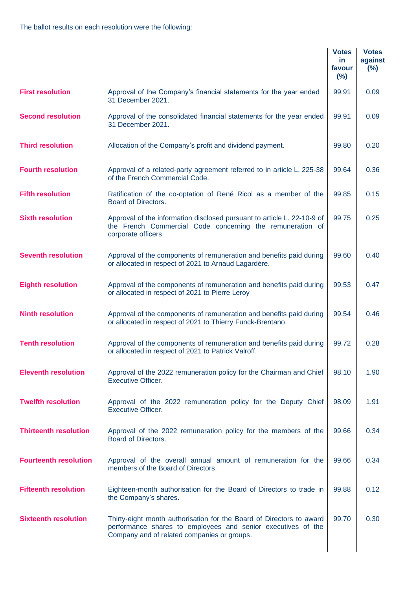|                              |                                                                                                                                                                                     | <b>Votes</b><br><b>in</b><br>favour<br>(%) | <b>Votes</b><br>against<br>$(\%)$ |
|------------------------------|-------------------------------------------------------------------------------------------------------------------------------------------------------------------------------------|--------------------------------------------|-----------------------------------|
| <b>First resolution</b>      | Approval of the Company's financial statements for the year ended<br>31 December 2021.                                                                                              | 99.91                                      | 0.09                              |
| <b>Second resolution</b>     | Approval of the consolidated financial statements for the year ended<br>31 December 2021.                                                                                           | 99.91                                      | 0.09                              |
| <b>Third resolution</b>      | Allocation of the Company's profit and dividend payment.                                                                                                                            | 99.80                                      | 0.20                              |
| <b>Fourth resolution</b>     | Approval of a related-party agreement referred to in article L. 225-38<br>of the French Commercial Code.                                                                            | 99.64                                      | 0.36                              |
| <b>Fifth resolution</b>      | Ratification of the co-optation of René Ricol as a member of the<br>Board of Directors.                                                                                             | 99.85                                      | 0.15                              |
| <b>Sixth resolution</b>      | Approval of the information disclosed pursuant to article L. 22-10-9 of<br>the French Commercial Code concerning the remuneration of<br>corporate officers.                         | 99.75                                      | 0.25                              |
| <b>Seventh resolution</b>    | Approval of the components of remuneration and benefits paid during<br>or allocated in respect of 2021 to Arnaud Lagardère.                                                         | 99.60                                      | 0.40                              |
| <b>Eighth resolution</b>     | Approval of the components of remuneration and benefits paid during<br>or allocated in respect of 2021 to Pierre Leroy                                                              | 99.53                                      | 0.47                              |
| <b>Ninth resolution</b>      | Approval of the components of remuneration and benefits paid during<br>or allocated in respect of 2021 to Thierry Funck-Brentano.                                                   | 99.54                                      | 0.46                              |
| <b>Tenth resolution</b>      | Approval of the components of remuneration and benefits paid during<br>or allocated in respect of 2021 to Patrick Valroff.                                                          | 99.72                                      | 0.28                              |
| <b>Eleventh resolution</b>   | Approval of the 2022 remuneration policy for the Chairman and Chief<br><b>Executive Officer.</b>                                                                                    | 98.10                                      | 1.90                              |
| <b>Twelfth resolution</b>    | Approval of the 2022 remuneration policy for the Deputy Chief<br><b>Executive Officer.</b>                                                                                          | 98.09                                      | 1.91                              |
| <b>Thirteenth resolution</b> | Approval of the 2022 remuneration policy for the members of the<br>Board of Directors.                                                                                              | 99.66                                      | 0.34                              |
| <b>Fourteenth resolution</b> | Approval of the overall annual amount of remuneration for the<br>members of the Board of Directors.                                                                                 | 99.66                                      | 0.34                              |
| <b>Fifteenth resolution</b>  | Eighteen-month authorisation for the Board of Directors to trade in<br>the Company's shares.                                                                                        | 99.88                                      | 0.12                              |
| <b>Sixteenth resolution</b>  | Thirty-eight month authorisation for the Board of Directors to award<br>performance shares to employees and senior executives of the<br>Company and of related companies or groups. | 99.70                                      | 0.30                              |